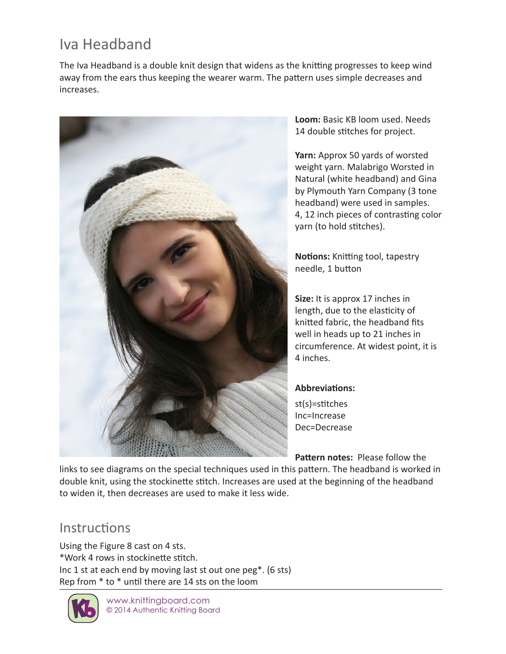## Iva Headband

The Iva Headband is a double knit design that widens as the knitting progresses to keep wind away from the ears thus keeping the wearer warm. The pattern uses simple decreases and increases.



**Loom:** Basic KB loom used. Needs 14 double stitches for project.

**Yarn:** Approx 50 yards of worsted weight yarn. Malabrigo Worsted in Natural (white headband) and Gina by Plymouth Yarn Company (3 tone headband) were used in samples. 4, 12 inch pieces of contrasting color yarn (to hold stitches).

**Notions:** Knitting tool, tapestry needle, 1 button

**Size:** It is approx 17 inches in length, due to the elasticity of knitted fabric, the headband fits well in heads up to 21 inches in circumference. At widest point, it is 4 inches.

## **Abbreviations:**

st(s)=stitches Inc=Increase Dec=Decrease

**Pattern notes:** Please follow the links to see diagrams on the special techniques used in this pattern. The headband is worked in double knit, using the stockinette stitch. Increases are used at the beginning of the headband to widen it, then decreases are used to make it less wide.

## **Instructions**

Using the Figure 8 cast on 4 sts. \*Work 4 rows in stockinette stitch. Inc 1 st at each end by moving last st out one peg\*. (6 sts) Rep from \* to \* until there are 14 sts on the loom



www.knittingboard.com © 2014 Authentic Knitting Board